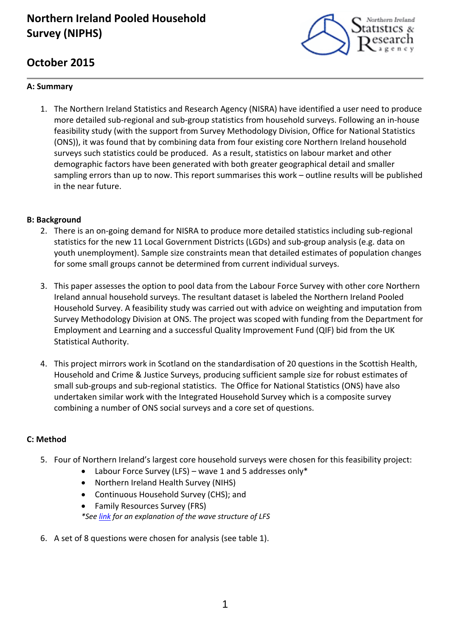# **Northern Ireland Pooled Household Survey (NIPHS)**



# **October 2015**

# **A: Summary**

1. The Northern Ireland Statistics and Research Agency (NISRA) have identified a user need to produce more detailed sub-regional and sub-group statistics from household surveys. Following an in-house feasibility study (with the support from Survey Methodology Division, Office for National Statistics (ONS)), it was found that by combining data from four existing core Northern Ireland household surveys such statistics could be produced. As a result, statistics on labour market and other demographic factors have been generated with both greater geographical detail and smaller sampling errors than up to now. This report summarises this work – outline results will be published in the near future.

### **B: Background**

- 2. There is an on-going demand for NISRA to produce more detailed statistics including sub-regional statistics for the new 11 Local Government Districts (LGDs) and sub‐group analysis (e.g. data on youth unemployment). Sample size constraints mean that detailed estimates of population changes for some small groups cannot be determined from current individual surveys.
- 3. This paper assesses the option to pool data from the Labour Force Survey with other core Northern Ireland annual household surveys. The resultant dataset is labeled the Northern Ireland Pooled Household Survey. A feasibility study was carried out with advice on weighting and imputation from Survey Methodology Division at ONS. The project was scoped with funding from the Department for Employment and Learning and a successful Quality Improvement Fund (QIF) bid from the UK Statistical Authority.
- 4. This project mirrors work in Scotland on the standardisation of 20 questions in the Scottish Health, Household and Crime & Justice Surveys, producing sufficient sample size for robust estimates of small sub‐groups and sub‐regional statistics. The Office for National Statistics (ONS) have also undertaken similar work with the Integrated Household Survey which is a composite survey combining a number of ONS social surveys and a core set of questions.

# **C: Method**

- 5. Four of Northern Ireland's largest core household surveys were chosen for this feasibility project:
	- Labour Force Survey (LFS) wave 1 and 5 addresses only\*
	- Northern Ireland Health Survey (NIHS)
	- Continuous Household Survey (CHS); and
	- Family Resources Survey (FRS) *\*See link for an explanation of the wave structure of LFS*
- 6. A set of 8 questions were chosen for analysis (see table 1).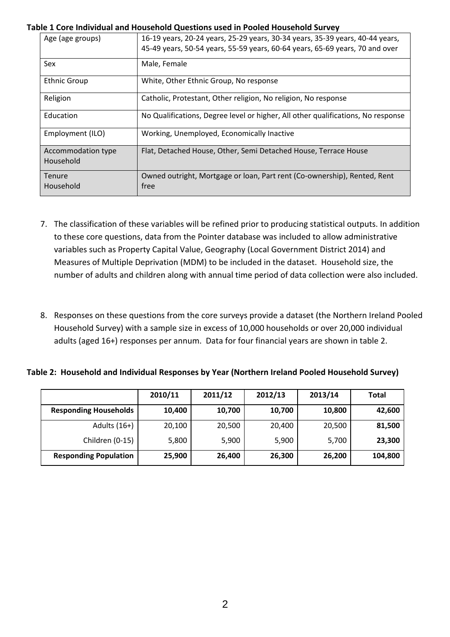#### **Table 1 Core Individual and Household Questions used in Pooled Household Survey**

| Age (age groups)                | 16-19 years, 20-24 years, 25-29 years, 30-34 years, 35-39 years, 40-44 years,<br>45-49 years, 50-54 years, 55-59 years, 60-64 years, 65-69 years, 70 and over |
|---------------------------------|---------------------------------------------------------------------------------------------------------------------------------------------------------------|
| Sex                             | Male, Female                                                                                                                                                  |
| <b>Ethnic Group</b>             | White, Other Ethnic Group, No response                                                                                                                        |
| Religion                        | Catholic, Protestant, Other religion, No religion, No response                                                                                                |
| Education                       | No Qualifications, Degree level or higher, All other qualifications, No response                                                                              |
| Employment (ILO)                | Working, Unemployed, Economically Inactive                                                                                                                    |
| Accommodation type<br>Household | Flat, Detached House, Other, Semi Detached House, Terrace House                                                                                               |
| <b>Tenure</b><br>Household      | Owned outright, Mortgage or loan, Part rent (Co-ownership), Rented, Rent<br>free                                                                              |

- 7. The classification of these variables will be refined prior to producing statistical outputs. In addition to these core questions, data from the Pointer database was included to allow administrative variables such as Property Capital Value, Geography (Local Government District 2014) and Measures of Multiple Deprivation (MDM) to be included in the dataset. Household size, the number of adults and children along with annual time period of data collection were also included.
- 8. Responses on these questions from the core surveys provide a dataset (the Northern Ireland Pooled Household Survey) with a sample size in excess of 10,000 households or over 20,000 individual adults (aged 16+) responses per annum. Data for four financial years are shown in table 2.

#### **Table 2: Household and Individual Responses by Year (Northern Ireland Pooled Household Survey)**

|                              | 2010/11 | 2011/12 | 2012/13 | 2013/14 | <b>Total</b> |
|------------------------------|---------|---------|---------|---------|--------------|
| <b>Responding Households</b> | 10,400  | 10,700  | 10,700  | 10,800  | 42,600       |
| Adults $(16+)$               | 20,100  | 20,500  | 20,400  | 20,500  | 81,500       |
| Children (0-15)              | 5,800   | 5,900   | 5,900   | 5,700   | 23,300       |
| <b>Responding Population</b> | 25,900  | 26,400  | 26,300  | 26,200  | 104,800      |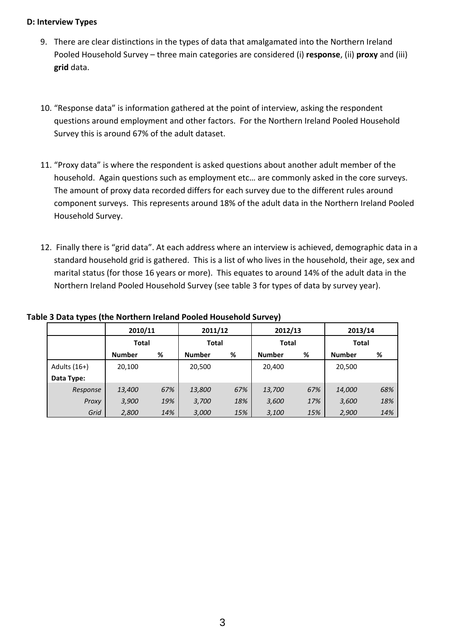#### **D: Interview Types**

- 9. There are clear distinctions in the types of data that amalgamated into the Northern Ireland Pooled Household Survey – three main categories are considered (i) **response**, (ii) **proxy** and (iii) **grid** data.
- 10. "Response data" is information gathered at the point of interview, asking the respondent questions around employment and other factors. For the Northern Ireland Pooled Household Survey this is around 67% of the adult dataset.
- 11. "Proxy data" is where the respondent is asked questions about another adult member of the household. Again questions such as employment etc… are commonly asked in the core surveys. The amount of proxy data recorded differs for each survey due to the different rules around component surveys. This represents around 18% of the adult data in the Northern Ireland Pooled Household Survey.
- 12. Finally there is "grid data". At each address where an interview is achieved, demographic data in a standard household grid is gathered. This is a list of who lives in the household, their age, sex and marital status (for those 16 years or more). This equates to around 14% of the adult data in the Northern Ireland Pooled Household Survey (see table 3 for types of data by survey year).

|              | 2010/11       |     | 2011/12       |     | 2012/13       |     | 2013/14       |     |
|--------------|---------------|-----|---------------|-----|---------------|-----|---------------|-----|
|              | <b>Total</b>  |     | <b>Total</b>  |     | <b>Total</b>  |     | <b>Total</b>  |     |
|              | <b>Number</b> | %   | <b>Number</b> | %   | <b>Number</b> | %   | <b>Number</b> | %   |
| Adults (16+) | 20,100        |     | 20,500        |     | 20,400        |     | 20,500        |     |
| Data Type:   |               |     |               |     |               |     |               |     |
| Response     | 13,400        | 67% | 13,800        | 67% | 13,700        | 67% | 14,000        | 68% |
| Proxy        | 3,900         | 19% | 3,700         | 18% | 3,600         | 17% | 3,600         | 18% |
| Grid         | 2,800         | 14% | 3,000         | 15% | 3,100         | 15% | 2,900         | 14% |

### **Table 3 Data types (the Northern Ireland Pooled Household Survey)**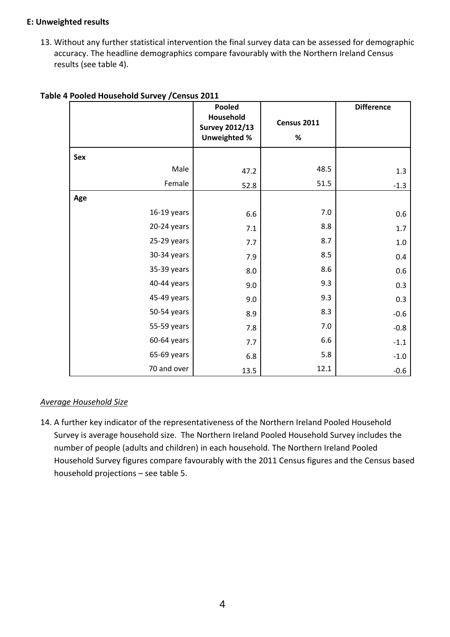### **E: Unweighted results**

13. Without any further statistical intervention the final survey data can be assessed for demographic accuracy. The headline demographics compare favourably with the Northern Ireland Census results (see table 4).

|             | Pooled                                                    |                     | <b>Difference</b> |
|-------------|-----------------------------------------------------------|---------------------|-------------------|
|             | Household<br><b>Survey 2012/13</b><br><b>Unweighted %</b> | Census 2011<br>$\%$ |                   |
| Sex         |                                                           |                     |                   |
| Male        | 47.2                                                      | 48.5                | 1.3               |
| Female      | 52.8                                                      | 51.5                | $-1.3$            |
| Age         |                                                           |                     |                   |
| 16-19 years | 6.6                                                       | 7.0                 | 0.6               |
| 20-24 years | $7.1\,$                                                   | 8.8                 | $1.7\,$           |
| 25-29 years | 7.7                                                       | 8.7                 | $1.0$             |
| 30-34 years | 7.9                                                       | 8.5                 | 0.4               |
| 35-39 years | 8.0                                                       | 8.6                 | 0.6               |
| 40-44 years | 9.0                                                       | 9.3                 | 0.3               |
| 45-49 years | 9.0                                                       | 9.3                 | 0.3               |
| 50-54 years | 8.9                                                       | 8.3                 | $-0.6$            |
| 55-59 years | 7.8                                                       | 7.0                 | $-0.8$            |
| 60-64 years | 7.7                                                       | 6.6                 | $-1.1$            |
| 65-69 years | 6.8                                                       | 5.8                 | $-1.0$            |
| 70 and over | 13.5                                                      | 12.1                | $-0.6$            |

### **Table 4 Pooled Household Survey /Census 2011**

### *Average Household Size*

14. A further key indicator of the representativeness of the Northern Ireland Pooled Household Survey is average household size. The Northern Ireland Pooled Household Survey includes the number of people (adults and children) in each household. The Northern Ireland Pooled Household Survey figures compare favourably with the 2011 Census figures and the Census based household projections – see table 5.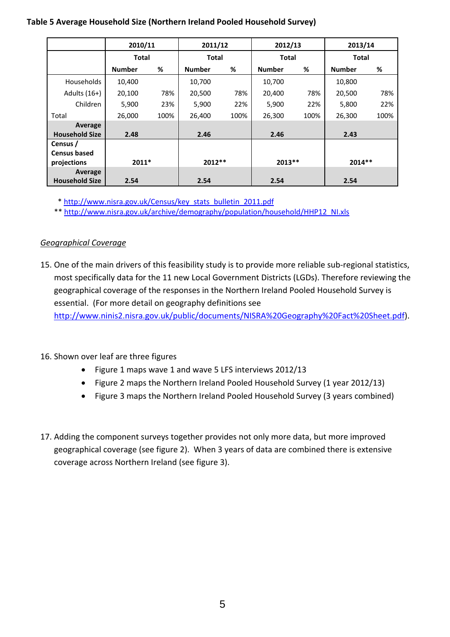### **Table 5 Average Household Size (Northern Ireland Pooled Household Survey)**

|                       | 2010/11       |      | 2011/12       |      | 2012/13       |      | 2013/14       |      |
|-----------------------|---------------|------|---------------|------|---------------|------|---------------|------|
|                       | <b>Total</b>  |      | <b>Total</b>  |      | <b>Total</b>  |      | Total         |      |
|                       | <b>Number</b> | %    | <b>Number</b> | %    | <b>Number</b> | %    | <b>Number</b> | %    |
| <b>Households</b>     | 10,400        |      | 10,700        |      | 10,700        |      | 10,800        |      |
| Adults $(16+)$        | 20,100        | 78%  | 20,500        | 78%  | 20,400        | 78%  | 20,500        | 78%  |
| Children              | 5,900         | 23%  | 5,900         | 22%  | 5,900         | 22%  | 5,800         | 22%  |
| Total                 | 26,000        | 100% | 26,400        | 100% | 26,300        | 100% | 26,300        | 100% |
| Average               |               |      |               |      |               |      |               |      |
| <b>Household Size</b> | 2.48          |      | 2.46          |      | 2.46          |      | 2.43          |      |
| Census /              |               |      |               |      |               |      |               |      |
| <b>Census based</b>   |               |      |               |      |               |      |               |      |
| projections           | $2011*$       |      | $2012**$      |      | $2013**$      |      | $2014**$      |      |
| Average               |               |      |               |      |               |      |               |      |
| <b>Household Size</b> | 2.54          |      | 2.54          |      | 2.54          |      | 2.54          |      |

\* http://www.nisra.gov.uk/Census/key\_stats\_bulletin\_2011.pdf

\*\* http://www.nisra.gov.uk/archive/demography/population/household/HHP12\_NI.xls

# *Geographical Coverage*

15. One of the main drivers of this feasibility study is to provide more reliable sub-regional statistics, most specifically data for the 11 new Local Government Districts (LGDs). Therefore reviewing the geographical coverage of the responses in the Northern Ireland Pooled Household Survey is essential. (For more detail on geography definitions see

http://www.ninis2.nisra.gov.uk/public/documents/NISRA%20Geography%20Fact%20Sheet.pdf).

- 16. Shown over leaf are three figures
	- Figure 1 maps wave 1 and wave 5 LFS interviews 2012/13
	- Figure 2 maps the Northern Ireland Pooled Household Survey (1 year 2012/13)
	- Figure 3 maps the Northern Ireland Pooled Household Survey (3 years combined)
- 17. Adding the component surveys together provides not only more data, but more improved geographical coverage (see figure 2). When 3 years of data are combined there is extensive coverage across Northern Ireland (see figure 3).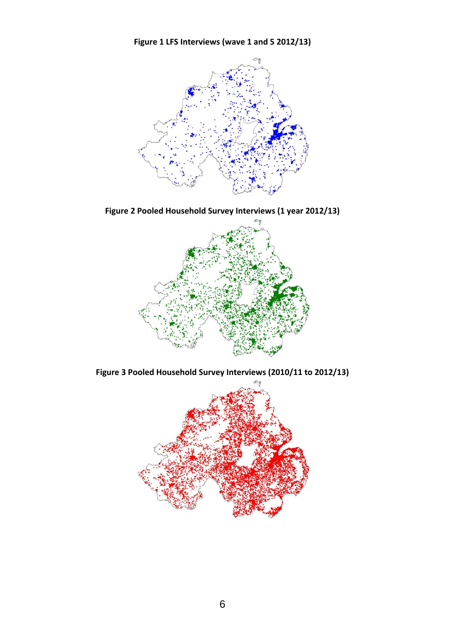**Figure 1 LFS Interviews (wave 1 and 5 2012/13)** 



**Figure 2 Pooled Household Survey Interviews (1 year 2012/13)**



**Figure 3 Pooled Household Survey Interviews (2010/11 to 2012/13)**

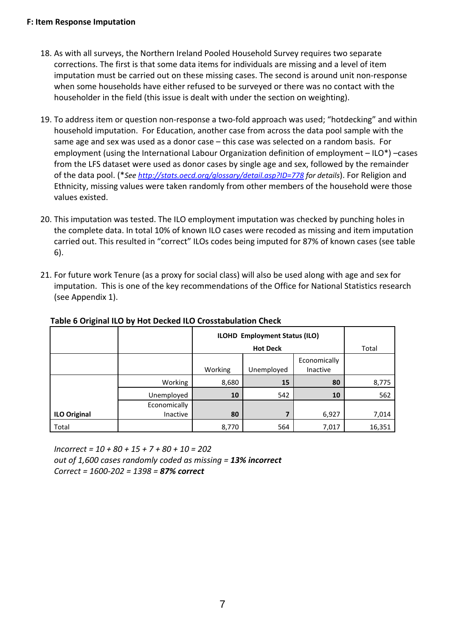#### **F: Item Response Imputation**

- 18. As with all surveys, the Northern Ireland Pooled Household Survey requires two separate corrections. The first is that some data items for individuals are missing and a level of item imputation must be carried out on these missing cases. The second is around unit non-response when some households have either refused to be surveyed or there was no contact with the householder in the field (this issue is dealt with under the section on weighting).
- 19. To address item or question non-response a two-fold approach was used; "hotdecking" and within household imputation. For Education, another case from across the data pool sample with the same age and sex was used as a donor case – this case was selected on a random basis. For employment (using the International Labour Organization definition of employment – ILO\*) –cases from the LFS dataset were used as donor cases by single age and sex, followed by the remainder of the data pool. (\**See http://stats.oecd.org/glossary/detail.asp?ID=778 for details*). For Religion and Ethnicity, missing values were taken randomly from other members of the household were those values existed.
- 20. This imputation was tested. The ILO employment imputation was checked by punching holes in the complete data. In total 10% of known ILO cases were recoded as missing and item imputation carried out. This resulted in "correct" ILOs codes being imputed for 87% of known cases (see table 6).
- 21. For future work Tenure (as a proxy for social class) will also be used along with age and sex for imputation. This is one of the key recommendations of the Office for National Statistics research (see Appendix 1).

|                     |              | ILOHD Employment Status (ILO) |                 |                          |        |
|---------------------|--------------|-------------------------------|-----------------|--------------------------|--------|
|                     |              |                               | <b>Hot Deck</b> |                          | Total  |
|                     |              | Working                       | Unemployed      | Economically<br>Inactive |        |
|                     | Working      | 8,680                         | 15              | 80                       | 8,775  |
|                     | Unemployed   | 10                            | 542             | 10                       | 562    |
|                     | Economically |                               |                 |                          |        |
| <b>ILO Original</b> | Inactive     | 80                            | 7               | 6,927                    | 7,014  |
| Total               |              | 8,770                         | 564             | 7,017                    | 16,351 |

### **Table 6 Original ILO by Hot Decked ILO Crosstabulation Check**

*Incorrect = 10 + 80 + 15 + 7 + 80 + 10 = 202 out of 1,600 cases randomly coded as missing = 13% incorrect Correct = 1600‐202 = 1398 = 87% correct*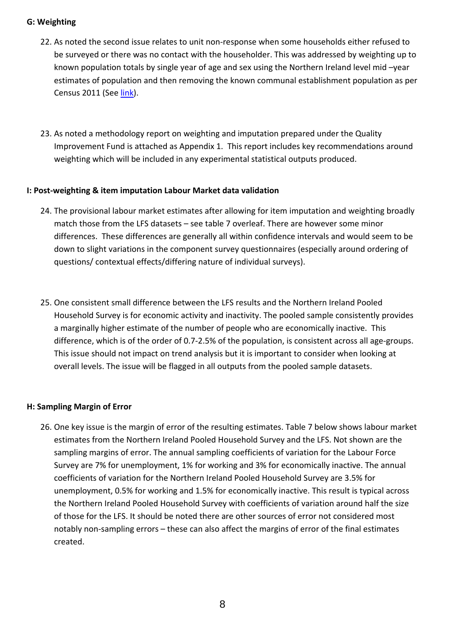### **G: Weighting**

- 22. As noted the second issue relates to unit non‐response when some households either refused to be surveyed or there was no contact with the householder. This was addressed by weighting up to known population totals by single year of age and sex using the Northern Ireland level mid –year estimates of population and then removing the known communal establishment population as per Census 2011 (See link).
- 23. As noted a methodology report on weighting and imputation prepared under the Quality Improvement Fund is attached as Appendix 1. This report includes key recommendations around weighting which will be included in any experimental statistical outputs produced.

### **I: Post‐weighting & item imputation Labour Market data validation**

- 24. The provisional labour market estimates after allowing for item imputation and weighting broadly match those from the LFS datasets – see table 7 overleaf. There are however some minor differences. These differences are generally all within confidence intervals and would seem to be down to slight variations in the component survey questionnaires (especially around ordering of questions/ contextual effects/differing nature of individual surveys).
- 25. One consistent small difference between the LFS results and the Northern Ireland Pooled Household Survey is for economic activity and inactivity. The pooled sample consistently provides a marginally higher estimate of the number of people who are economically inactive. This difference, which is of the order of 0.7‐2.5% of the population, is consistent across all age‐groups. This issue should not impact on trend analysis but it is important to consider when looking at overall levels. The issue will be flagged in all outputs from the pooled sample datasets.

### **H: Sampling Margin of Error**

26. One key issue is the margin of error of the resulting estimates. Table 7 below shows labour market estimates from the Northern Ireland Pooled Household Survey and the LFS. Not shown are the sampling margins of error. The annual sampling coefficients of variation for the Labour Force Survey are 7% for unemployment, 1% for working and 3% for economically inactive. The annual coefficients of variation for the Northern Ireland Pooled Household Survey are 3.5% for unemployment, 0.5% for working and 1.5% for economically inactive. This result is typical across the Northern Ireland Pooled Household Survey with coefficients of variation around half the size of those for the LFS. It should be noted there are other sources of error not considered most notably non-sampling errors – these can also affect the margins of error of the final estimates created.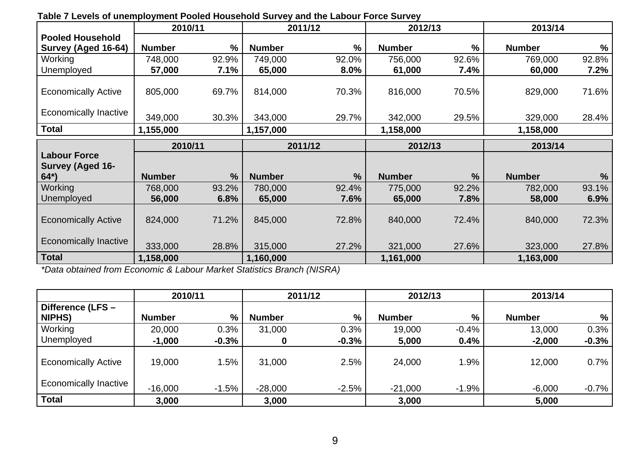| rabic r Ecveis of anchipioyment r obica household ourvey and the Eabour r oree ourvey | 2010/11       |               |               | 2011/12       | 2012/13       |               | 2013/14       |               |
|---------------------------------------------------------------------------------------|---------------|---------------|---------------|---------------|---------------|---------------|---------------|---------------|
| <b>Pooled Household</b>                                                               |               |               |               |               |               |               |               |               |
| Survey (Aged 16-64)                                                                   | <b>Number</b> | $\frac{9}{6}$ | <b>Number</b> | %             | <b>Number</b> | $\frac{9}{6}$ | <b>Number</b> | $\frac{0}{0}$ |
| Working                                                                               | 748,000       | 92.9%         | 749,000       | 92.0%         | 756,000       | 92.6%         | 769,000       | 92.8%         |
| Unemployed                                                                            | 57,000        | 7.1%          | 65,000        | 8.0%          | 61,000        | 7.4%          | 60,000        | 7.2%          |
| <b>Economically Active</b>                                                            | 805,000       | 69.7%         | 814,000       | 70.3%         | 816,000       | 70.5%         | 829,000       | 71.6%         |
| <b>Economically Inactive</b>                                                          | 349,000       | 30.3%         | 343,000       | 29.7%         | 342,000       | 29.5%         | 329,000       | 28.4%         |
| <b>Total</b>                                                                          | 1,155,000     |               | 1,157,000     |               | 1,158,000     |               | 1,158,000     |               |
|                                                                                       | 2010/11       |               |               | 2011/12       | 2012/13       |               | 2013/14       |               |
| <b>Labour Force</b>                                                                   |               |               |               |               |               |               |               |               |
| <b>Survey (Aged 16-</b>                                                               |               |               |               |               |               |               |               |               |
| $64*)$                                                                                | <b>Number</b> | $\frac{9}{6}$ | <b>Number</b> | $\frac{9}{6}$ | <b>Number</b> | $\frac{9}{6}$ | <b>Number</b> | $\frac{0}{0}$ |
| <b>Working</b>                                                                        | 768,000       | 93.2%         | 780,000       | 92.4%         | 775,000       | 92.2%         | 782,000       | 93.1%         |
| Unemployed                                                                            | 56,000        | 6.8%          | 65,000        | 7.6%          | 65,000        | 7.8%          | 58,000        | 6.9%          |
| <b>Economically Active</b>                                                            | 824,000       | 71.2%         | 845,000       | 72.8%         | 840,000       | 72.4%         | 840,000       | 72.3%         |
| <b>Economically Inactive</b>                                                          | 333,000       | 28.8%         | 315,000       | 27.2%         | 321,000       | 27.6%         | 323,000       | 27.8%         |
| <b>Total</b>                                                                          | 1,158,000     |               | 1,160,000     |               | 1,161,000     |               | 1,163,000     |               |

### **Table 7 Levels of unemployment Pooled Household Survey and the Labour Force Survey**

*\*Data obtained from Economic & Labour Market Statistics Branch (NISRA)* 

|                              | 2010/11       |               |               | 2011/12 | 2012/13       |         | 2013/14       |         |
|------------------------------|---------------|---------------|---------------|---------|---------------|---------|---------------|---------|
| Difference (LFS -            |               |               |               |         |               |         |               |         |
| <b>NIPHS)</b>                | <b>Number</b> | $\frac{0}{0}$ | <b>Number</b> | %       | <b>Number</b> | %       | <b>Number</b> | $\%$    |
| Working                      | 20,000        | 0.3%          | 31,000        | 0.3%    | 19,000        | $-0.4%$ | 13,000        | 0.3%    |
| Unemployed                   | $-1,000$      | $-0.3%$       |               | $-0.3%$ | 5,000         | 0.4%    | $-2,000$      | $-0.3%$ |
| <b>Economically Active</b>   | 19,000        | 1.5%          | 31,000        | 2.5%    | 24,000        | 1.9%    | 12,000        | 0.7%    |
| <b>Economically Inactive</b> | $-16,000$     | $-1.5%$       | $-28,000$     | $-2.5%$ | $-21,000$     | $-1.9%$ | $-6,000$      | $-0.7%$ |
| <b>Total</b>                 | 3,000         |               | 3,000         |         | 3,000         |         | 5,000         |         |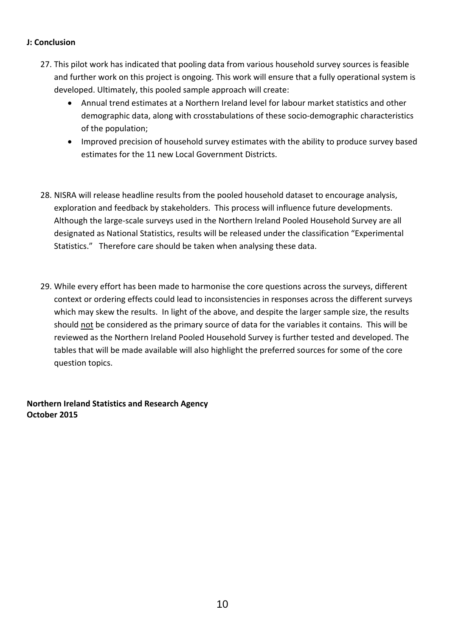### **J: Conclusion**

- 27. This pilot work has indicated that pooling data from various household survey sources is feasible and further work on this project is ongoing. This work will ensure that a fully operational system is developed. Ultimately, this pooled sample approach will create:
	- Annual trend estimates at a Northern Ireland level for labour market statistics and other demographic data, along with crosstabulations of these socio‐demographic characteristics of the population;
	- Improved precision of household survey estimates with the ability to produce survey based estimates for the 11 new Local Government Districts.
- 28. NISRA will release headline results from the pooled household dataset to encourage analysis, exploration and feedback by stakeholders. This process will influence future developments. Although the large‐scale surveys used in the Northern Ireland Pooled Household Survey are all designated as National Statistics, results will be released under the classification "Experimental Statistics." Therefore care should be taken when analysing these data.
- 29. While every effort has been made to harmonise the core questions across the surveys, different context or ordering effects could lead to inconsistencies in responses across the different surveys which may skew the results. In light of the above, and despite the larger sample size, the results should not be considered as the primary source of data for the variables it contains. This will be reviewed as the Northern Ireland Pooled Household Survey is further tested and developed. The tables that will be made available will also highlight the preferred sources for some of the core question topics.

**Northern Ireland Statistics and Research Agency October 2015**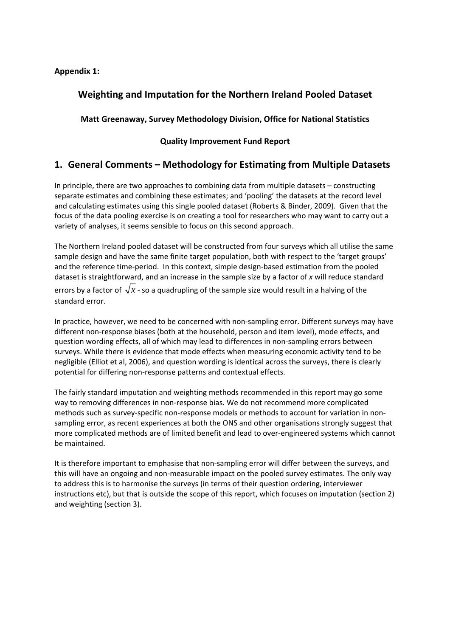### **Appendix 1:**

# **Weighting and Imputation for the Northern Ireland Pooled Dataset**

**Matt Greenaway, Survey Methodology Division, Office for National Statistics**

### **Quality Improvement Fund Report**

# **1. General Comments – Methodology for Estimating from Multiple Datasets**

In principle, there are two approaches to combining data from multiple datasets – constructing separate estimates and combining these estimates; and 'pooling' the datasets at the record level and calculating estimates using this single pooled dataset (Roberts & Binder, 2009). Given that the focus of the data pooling exercise is on creating a tool for researchers who may want to carry out a variety of analyses, it seems sensible to focus on this second approach.

The Northern Ireland pooled dataset will be constructed from four surveys which all utilise the same sample design and have the same finite target population, both with respect to the 'target groups' and the reference time-period. In this context, simple design-based estimation from the pooled dataset is straightforward, and an increase in the sample size by a factor of *x* will reduce standard errors by a factor of  $\sqrt{x}$  - so a quadrupling of the sample size would result in a halving of the standard error.

In practice, however, we need to be concerned with non‐sampling error. Different surveys may have different non‐response biases (both at the household, person and item level), mode effects, and question wording effects, all of which may lead to differences in non‐sampling errors between surveys. While there is evidence that mode effects when measuring economic activity tend to be negligible (Elliot et al, 2006), and question wording is identical across the surveys, there is clearly potential for differing non‐response patterns and contextual effects.

The fairly standard imputation and weighting methods recommended in this report may go some way to removing differences in non-response bias. We do not recommend more complicated methods such as survey-specific non-response models or methods to account for variation in nonsampling error, as recent experiences at both the ONS and other organisations strongly suggest that more complicated methods are of limited benefit and lead to over-engineered systems which cannot be maintained.

It is therefore important to emphasise that non‐sampling error will differ between the surveys, and this will have an ongoing and non‐measurable impact on the pooled survey estimates. The only way to address this is to harmonise the surveys (in terms of their question ordering, interviewer instructions etc), but that is outside the scope of this report, which focuses on imputation (section 2) and weighting (section 3).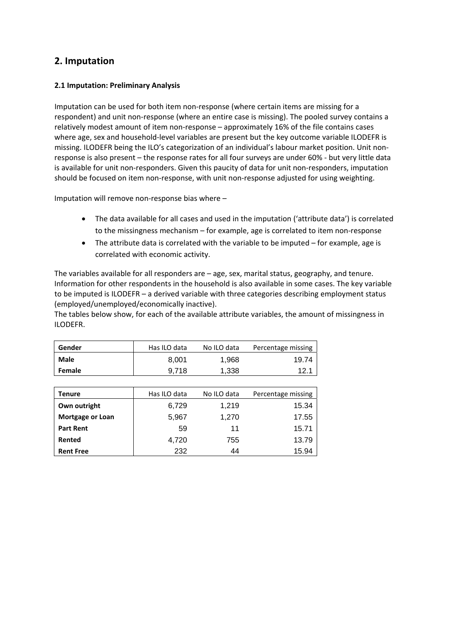# **2. Imputation**

#### **2.1 Imputation: Preliminary Analysis**

Imputation can be used for both item non-response (where certain items are missing for a respondent) and unit non-response (where an entire case is missing). The pooled survey contains a relatively modest amount of item non‐response – approximately 16% of the file contains cases where age, sex and household-level variables are present but the key outcome variable ILODEFR is missing. ILODEFR being the ILO's categorization of an individual's labour market position. Unit non‐ response is also present – the response rates for all four surveys are under 60% ‐ but very little data is available for unit non-responders. Given this paucity of data for unit non-responders, imputation should be focused on item non-response, with unit non-response adjusted for using weighting.

Imputation will remove non‐response bias where –

- The data available for all cases and used in the imputation ('attribute data') is correlated to the missingness mechanism – for example, age is correlated to item non‐response
- The attribute data is correlated with the variable to be imputed for example, age is correlated with economic activity.

The variables available for all responders are – age, sex, marital status, geography, and tenure. Information for other respondents in the household is also available in some cases. The key variable to be imputed is ILODEFR – a derived variable with three categories describing employment status (employed/unemployed/economically inactive).

The tables below show, for each of the available attribute variables, the amount of missingness in ILODEFR.

| Gender                  | Has ILO data | No ILO data | Percentage missing |
|-------------------------|--------------|-------------|--------------------|
| <b>Male</b>             | 8,001        | 1,968       | 19.74              |
| Female                  | 9,718        | 1,338       | 12.1               |
|                         |              |             |                    |
| <b>Tenure</b>           | Has ILO data | No ILO data | Percentage missing |
| Own outright            | 6,729        | 1,219       | 15.34              |
| <b>Mortgage or Loan</b> | 5,967        | 1,270       | 17.55              |
| <b>Part Rent</b>        | 59           | 11          | 15.71              |
| Rented                  | 4,720        | 755         | 13.79              |
| <b>Rent Free</b>        | 232          | 44          | 15.94              |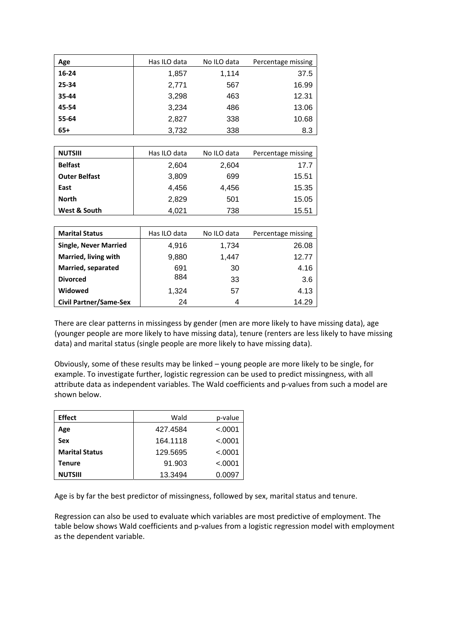| Age   | Has ILO data | No ILO data | Percentage missing |
|-------|--------------|-------------|--------------------|
| 16-24 | 1,857        | 1,114       | 37.5               |
| 25-34 | 2,771        | 567         | 16.99              |
| 35-44 | 3,298        | 463         | 12.31              |
| 45-54 | 3,234        | 486         | 13.06              |
| 55-64 | 2,827        | 338         | 10.68              |
| $65+$ | 3,732        | 338         | 8.3                |

| <b>NUTSIII</b>               | Has ILO data | No ILO data | Percentage missing |
|------------------------------|--------------|-------------|--------------------|
| <b>Belfast</b>               | 2,604        | 2,604       | 17.7               |
| <b>Outer Belfast</b>         | 3,809        | 699         | 15.51              |
| East                         | 4,456        | 4,456       | 15.35              |
| North                        | 2,829        | 501         | 15.05              |
| West & South                 | 4,021        | 738         | 15.51              |
|                              |              |             |                    |
|                              |              |             |                    |
| <b>Marital Status</b>        | Has ILO data | No ILO data | Percentage missing |
| <b>Single, Never Married</b> | 4,916        | 1,734       | 26.08              |
| Married, living with         | 9,880        | 1,447       | 12.77              |
| Married, separated           | 691          | 30          | 4.16               |
| <b>Divorced</b>              | 884          | 33          | 3.6                |
| Widowed                      | 1,324        | 57          | 4.13               |

There are clear patterns in missingess by gender (men are more likely to have missing data), age (younger people are more likely to have missing data), tenure (renters are less likely to have missing data) and marital status (single people are more likely to have missing data).

Obviously, some of these results may be linked – young people are more likely to be single, for example. To investigate further, logistic regression can be used to predict missingness, with all attribute data as independent variables. The Wald coefficients and p-values from such a model are shown below.

| <b>Effect</b>         | Wald     | p-value  |
|-----------------------|----------|----------|
| Age                   | 427.4584 | $-.0001$ |
| <b>Sex</b>            | 164.1118 | < 0.0001 |
| <b>Marital Status</b> | 129.5695 | < 0.0001 |
| Tenure                | 91.903   | < 0.0001 |
| <b>NUTSIII</b>        | 13.3494  | 0.0097   |

Age is by far the best predictor of missingness, followed by sex, marital status and tenure.

Regression can also be used to evaluate which variables are most predictive of employment. The table below shows Wald coefficients and p-values from a logistic regression model with employment as the dependent variable.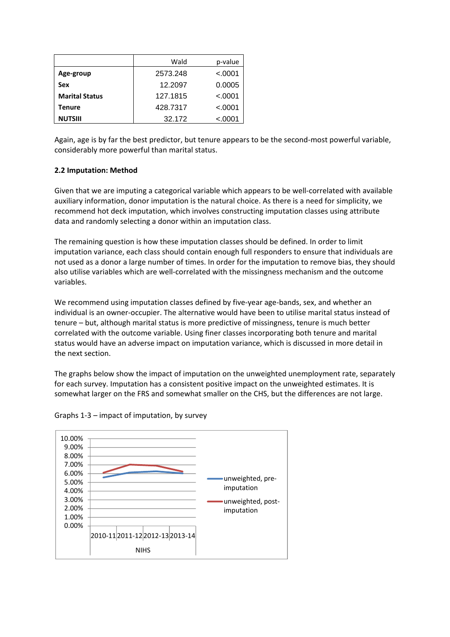|                       | Wald     | p-value  |
|-----------------------|----------|----------|
| Age-group             | 2573.248 | < 0.0001 |
| Sex                   | 12.2097  | 0.0005   |
| <b>Marital Status</b> | 127.1815 | < 0.0001 |
| Tenure                | 428.7317 | < 0.0001 |
| <b>NUTSIII</b>        | 32.172   | < 0.0001 |

Again, age is by far the best predictor, but tenure appears to be the second-most powerful variable, considerably more powerful than marital status.

#### **2.2 Imputation: Method**

Given that we are imputing a categorical variable which appears to be well-correlated with available auxiliary information, donor imputation is the natural choice. As there is a need for simplicity, we recommend hot deck imputation, which involves constructing imputation classes using attribute data and randomly selecting a donor within an imputation class.

The remaining question is how these imputation classes should be defined. In order to limit imputation variance, each class should contain enough full responders to ensure that individuals are not used as a donor a large number of times. In order for the imputation to remove bias, they should also utilise variables which are well‐correlated with the missingness mechanism and the outcome variables.

We recommend using imputation classes defined by five-year age-bands, sex, and whether an individual is an owner‐occupier. The alternative would have been to utilise marital status instead of tenure – but, although marital status is more predictive of missingness, tenure is much better correlated with the outcome variable. Using finer classes incorporating both tenure and marital status would have an adverse impact on imputation variance, which is discussed in more detail in the next section.

The graphs below show the impact of imputation on the unweighted unemployment rate, separately for each survey. Imputation has a consistent positive impact on the unweighted estimates. It is somewhat larger on the FRS and somewhat smaller on the CHS, but the differences are not large.



Graphs 1‐3 – impact of imputation, by survey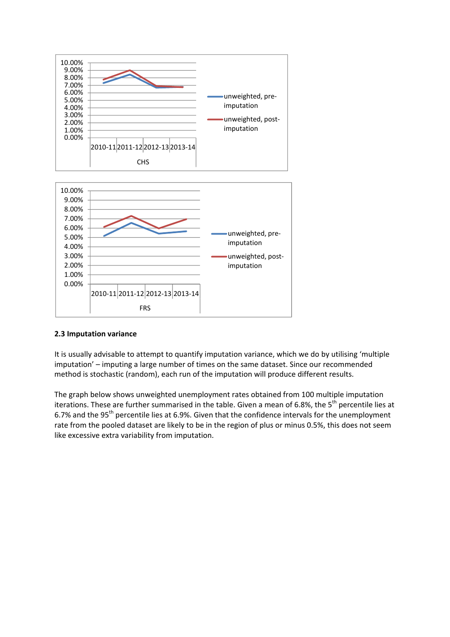

#### **2.3 Imputation variance**

It is usually advisable to attempt to quantify imputation variance, which we do by utilising 'multiple imputation' – imputing a large number of times on the same dataset. Since our recommended method is stochastic (random), each run of the imputation will produce different results.

The graph below shows unweighted unemployment rates obtained from 100 multiple imputation iterations. These are further summarised in the table. Given a mean of 6.8%, the  $5<sup>th</sup>$  percentile lies at 6.7% and the 95<sup>th</sup> percentile lies at 6.9%. Given that the confidence intervals for the unemployment rate from the pooled dataset are likely to be in the region of plus or minus 0.5%, this does not seem like excessive extra variability from imputation.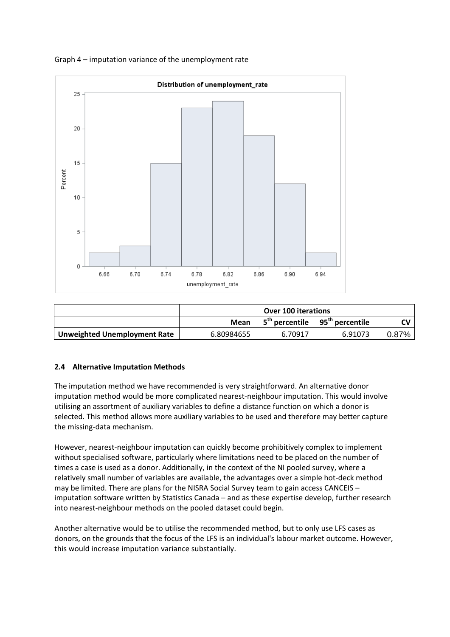

#### Graph 4 – imputation variance of the unemployment rate

|                                     | <b>Over 100 iterations</b> |         |                                                        |       |
|-------------------------------------|----------------------------|---------|--------------------------------------------------------|-------|
|                                     | Mean                       |         | 5 <sup>th</sup> percentile 95 <sup>th</sup> percentile |       |
| <b>Unweighted Unemployment Rate</b> | 6.80984655                 | 6.70917 | 6.91073                                                | 0.87% |

#### **2.4 Alternative Imputation Methods**

The imputation method we have recommended is very straightforward. An alternative donor imputation method would be more complicated nearest-neighbour imputation. This would involve utilising an assortment of auxiliary variables to define a distance function on which a donor is selected. This method allows more auxiliary variables to be used and therefore may better capture the missing‐data mechanism.

However, nearest-neighbour imputation can quickly become prohibitively complex to implement without specialised software, particularly where limitations need to be placed on the number of times a case is used as a donor. Additionally, in the context of the NI pooled survey, where a relatively small number of variables are available, the advantages over a simple hot‐deck method may be limited. There are plans for the NISRA Social Survey team to gain access CANCEIS – imputation software written by Statistics Canada – and as these expertise develop, further research into nearest‐neighbour methods on the pooled dataset could begin.

Another alternative would be to utilise the recommended method, but to only use LFS cases as donors, on the grounds that the focus of the LFS is an individual's labour market outcome. However, this would increase imputation variance substantially.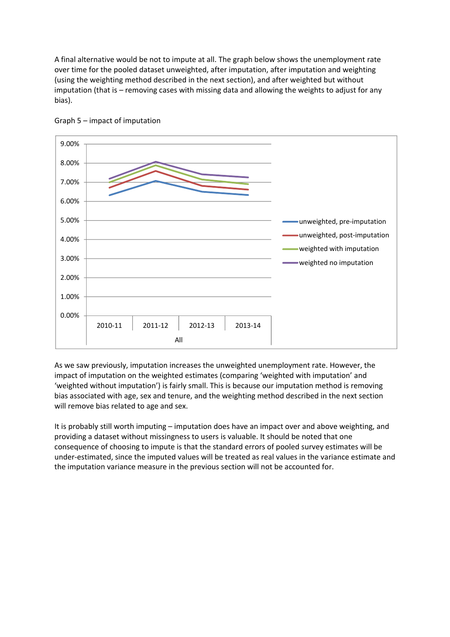A final alternative would be not to impute at all. The graph below shows the unemployment rate over time for the pooled dataset unweighted, after imputation, after imputation and weighting (using the weighting method described in the next section), and after weighted but without imputation (that is – removing cases with missing data and allowing the weights to adjust for any bias).





As we saw previously, imputation increases the unweighted unemployment rate. However, the impact of imputation on the weighted estimates (comparing 'weighted with imputation' and 'weighted without imputation') is fairly small. This is because our imputation method is removing bias associated with age, sex and tenure, and the weighting method described in the next section will remove bias related to age and sex.

It is probably still worth imputing – imputation does have an impact over and above weighting, and providing a dataset without missingness to users is valuable. It should be noted that one consequence of choosing to impute is that the standard errors of pooled survey estimates will be under‐estimated, since the imputed values will be treated as real values in the variance estimate and the imputation variance measure in the previous section will not be accounted for.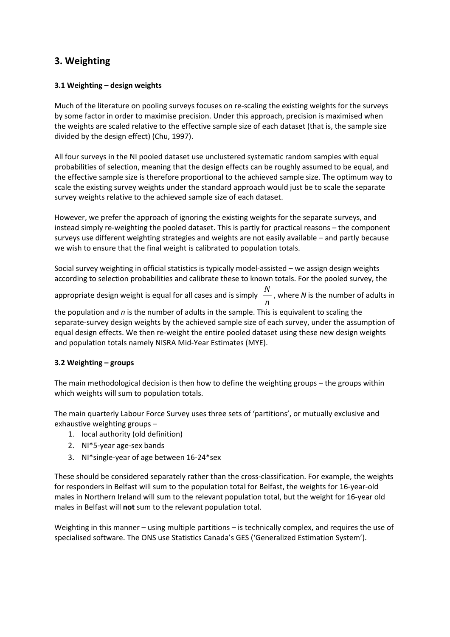# **3. Weighting**

#### **3.1 Weighting – design weights**

Much of the literature on pooling surveys focuses on re-scaling the existing weights for the surveys by some factor in order to maximise precision. Under this approach, precision is maximised when the weights are scaled relative to the effective sample size of each dataset (that is, the sample size divided by the design effect) (Chu, 1997).

All four surveys in the NI pooled dataset use unclustered systematic random samples with equal probabilities of selection, meaning that the design effects can be roughly assumed to be equal, and the effective sample size is therefore proportional to the achieved sample size. The optimum way to scale the existing survey weights under the standard approach would just be to scale the separate survey weights relative to the achieved sample size of each dataset.

However, we prefer the approach of ignoring the existing weights for the separate surveys, and instead simply re‐weighting the pooled dataset. This is partly for practical reasons – the component surveys use different weighting strategies and weights are not easily available – and partly because we wish to ensure that the final weight is calibrated to population totals.

Social survey weighting in official statistics is typically model‐assisted – we assign design weights according to selection probabilities and calibrate these to known totals. For the pooled survey, the

appropriate design weight is equal for all cases and is simply  $\frac{N}{\tau}$  $\frac{1}{n}$  , where *N* is the number of adults in<br>*n* 

the population and *n* is the number of adults in the sample. This is equivalent to scaling the separate‐survey design weights by the achieved sample size of each survey, under the assumption of equal design effects. We then re‐weight the entire pooled dataset using these new design weights and population totals namely NISRA Mid‐Year Estimates (MYE).

#### **3.2 Weighting – groups**

The main methodological decision is then how to define the weighting groups – the groups within which weights will sum to population totals.

The main quarterly Labour Force Survey uses three sets of 'partitions', or mutually exclusive and exhaustive weighting groups –

- 1. local authority (old definition)
- 2. NI\*5‐year age‐sex bands
- 3. NI\*single‐year of age between 16‐24\*sex

These should be considered separately rather than the cross‐classification. For example, the weights for responders in Belfast will sum to the population total for Belfast, the weights for 16‐year‐old males in Northern Ireland will sum to the relevant population total, but the weight for 16‐year old males in Belfast will **not** sum to the relevant population total.

Weighting in this manner – using multiple partitions – is technically complex, and requires the use of specialised software. The ONS use Statistics Canada's GES ('Generalized Estimation System').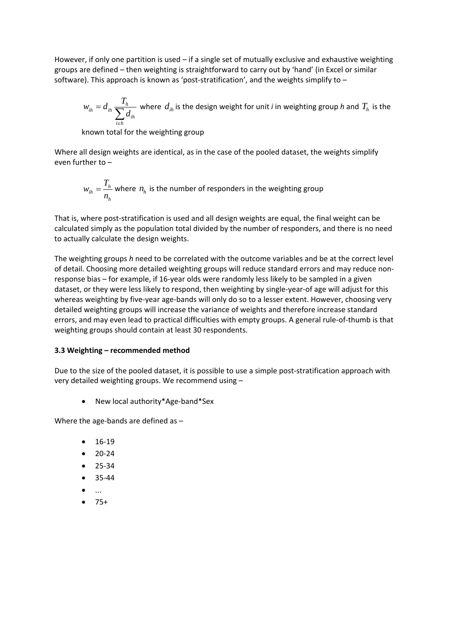However, if only one partition is used – if a single set of mutually exclusive and exhaustive weighting groups are defined – then weighting is straightforward to carry out by 'hand' (in Excel or similar software). This approach is known as 'post-stratification', and the weights simplify to  $-$ 

$$
w_{ih} = d_{ih} \sum_{i \in h} \frac{T_h}{Z_{ih}}
$$
 where  $d_{ih}$  is the design weight for unit *i* in weighting group *h* and  $T_h$  is the

known total for the weighting group

Where all design weights are identical, as in the case of the pooled dataset, the weights simplify even further to –

$$
w_{ih} = \frac{T_h}{n_h}
$$
 where  $n_h$  is the number of respondents in the weighting group

That is, where post‐stratification is used and all design weights are equal, the final weight can be calculated simply as the population total divided by the number of responders, and there is no need to actually calculate the design weights.

The weighting groups *h* need to be correlated with the outcome variables and be at the correct level of detail. Choosing more detailed weighting groups will reduce standard errors and may reduce non‐ response bias – for example, if 16‐year olds were randomly less likely to be sampled in a given dataset, or they were less likely to respond, then weighting by single‐year‐of age will adjust for this whereas weighting by five-year age-bands will only do so to a lesser extent. However, choosing very detailed weighting groups will increase the variance of weights and therefore increase standard errors, and may even lead to practical difficulties with empty groups. A general rule‐of‐thumb is that weighting groups should contain at least 30 respondents.

#### **3.3 Weighting – recommended method**

Due to the size of the pooled dataset, it is possible to use a simple post-stratification approach with very detailed weighting groups. We recommend using –

● New local authority\*Age-band\*Sex

Where the age-bands are defined as -

- 16‐19
- 20‐24
- $25-34$
- $35-44$
- ...
- $75+$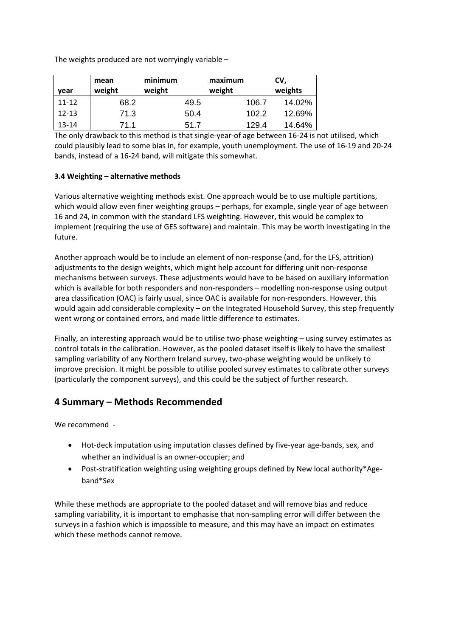The weights produced are not worryingly variable –

| vear      | mean<br>weight | minimum<br>weight |      | maximum<br>weight |       | CV,<br>weights |
|-----------|----------------|-------------------|------|-------------------|-------|----------------|
| $11 - 12$ | 68.2           |                   | 49.5 |                   | 106.7 | 14.02%         |
| $12 - 13$ | 71.3           |                   | 50.4 |                   | 102.2 | 12.69%         |
| $13 - 14$ | 71.1           |                   | 51.7 |                   | 129.4 | 14.64%         |

The only drawback to this method is that single‐year‐of age between 16‐24 is not utilised, which could plausibly lead to some bias in, for example, youth unemployment. The use of 16‐19 and 20‐24 bands, instead of a 16‐24 band, will mitigate this somewhat.

#### **3.4 Weighting – alternative methods**

Various alternative weighting methods exist. One approach would be to use multiple partitions, which would allow even finer weighting groups – perhaps, for example, single year of age between 16 and 24, in common with the standard LFS weighting. However, this would be complex to implement (requiring the use of GES software) and maintain. This may be worth investigating in the future.

Another approach would be to include an element of non‐response (and, for the LFS, attrition) adjustments to the design weights, which might help account for differing unit non‐response mechanisms between surveys. These adjustments would have to be based on auxiliary information which is available for both responders and non-responders – modelling non-response using output area classification (OAC) is fairly usual, since OAC is available for non-responders. However, this would again add considerable complexity – on the Integrated Household Survey, this step frequently went wrong or contained errors, and made little difference to estimates.

Finally, an interesting approach would be to utilise two-phase weighting – using survey estimates as control totals in the calibration. However, as the pooled dataset itself is likely to have the smallest sampling variability of any Northern Ireland survey, two-phase weighting would be unlikely to improve precision. It might be possible to utilise pooled survey estimates to calibrate other surveys (particularly the component surveys), and this could be the subject of further research.

# **4 Summary – Methods Recommended**

We recommend -

- Hot-deck imputation using imputation classes defined by five-year age-bands, sex, and whether an individual is an owner‐occupier; and
- Post-stratification weighting using weighting groups defined by New local authority\*Ageband\*Sex

While these methods are appropriate to the pooled dataset and will remove bias and reduce sampling variability, it is important to emphasise that non-sampling error will differ between the surveys in a fashion which is impossible to measure, and this may have an impact on estimates which these methods cannot remove.